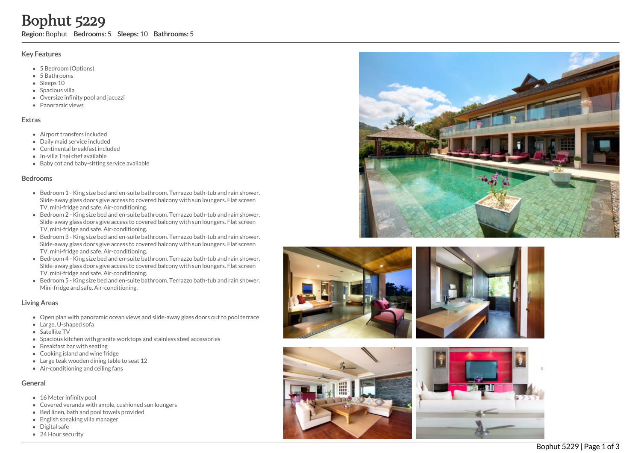### Key Features

- 5 Bedroom (Options)
- 5 B a t h r o o m s
- Sleeps 10
- S p a cio u s villa
- Oversize infinity pool and jacuzzi
- Panoramic views

## **Extras**

- Airport transfers included
- Daily maid service included
- Continental breakfast included
- In-villa Thai chef available
- Baby cot and baby-sitting service available

### **Bedrooms**

- Bedroom 1 King size bed and en-suite bathroom. Terrazzo bath-tub and rain shower. Slide-away glass doors give access to covered balcony with sun loungers. Flat screen TV, mini-fridge and safe. Air-conditioning.
- Bedroom 2 King size bed and en-suite bathroom. Terrazzo bath-tub and rain shower. Slide-away glass doors give access to covered balcony with sun loungers. Flat screen TV, mini-fridge and safe. Air-conditioning. **Bophut 52229**<br> **Region:** Bophut Bedrooms: 5 Sleeps: 10 Bathrooms: 5<br>
Key Features<br>
• 5 Bedroom (Options)<br>
• 5 Bedrooms<br>
• Sleeps 10<br>
• Sleeps 10<br>
• Sleeps 10<br>
• Sleeps 10<br>
• Sleeps 10<br>
• Sleeps 10<br>
• Sleeps 10<br>
• Oversiz
	- Bedroom 3 King size bed and en-suite bathroom. Terrazzo bath-tub and rain shower. Slide-away glass doors give access to covered balcony with sun loungers. Flat screen TV, mini-fridge and safe. Air-conditioning.
	- Bedroom 4 King size bed and en-suite bathroom. Terrazzo bath-tub and rain shower. Slide-away glass doors give access to covered balcony with sun loungers. Flat screen TV, mini-fridge and safe. Air-conditioning.
	- Bedroom 5 King size bed and en-suite bathroom. Terrazzo bath-tub and rain shower. Mini-fridge and safe. Air-conditioning.

## Living Areas

- Open plan with panoramic ocean views and slide-away glass doors out to pool terrace
- Large, U-shaped sofa
- Satellite TV
- Spacious kitchen with granite worktops and stainless steel accessories
- Breakfast bar with seating
- Cooking island and wine fridge
- Large teak wooden dining table to seat 12
- Air-conditioning and ceiling fans

# General

- 16 Meter infinity pool
- Covered veranda with ample, cushioned sun loungers
- Bed linen, bath and pool towels provided
- English speaking villa manager
- Digital safe
- 









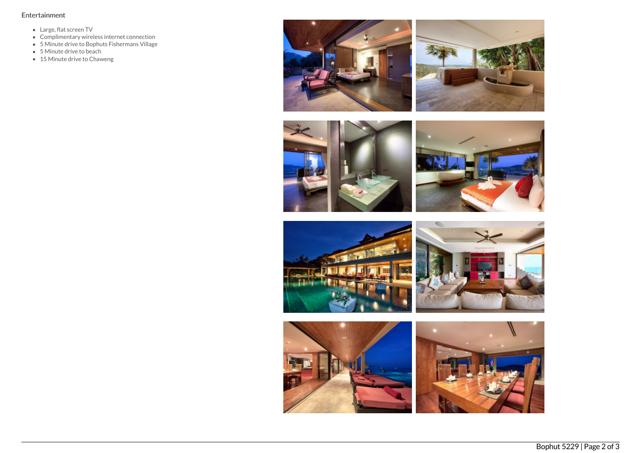# Entertainment

- Large, flat screen TV
- Complimentary wireless internet connection
- 5 Minute drive to Bophuts Fishermans Village
- 5 Minute drive to beach
- 15 Minute drive to Chaweng